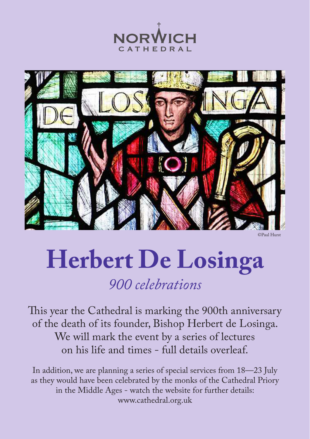## **Herbert De Losinga** *900 celebrations*

This year the Cathedral is marking the 900th anniversary of the death of its founder, Bishop Herbert de Losinga.

> We will mark the event by a series of lectures on his life and times - full details overleaf.

In addition, we are planning a series of special services from 18—23 July as they would have been celebrated by the monks of the Cathedral Priory in the Middle Ages - watch the website for further details: www.cathedral.org.uk





©Paul Hurst